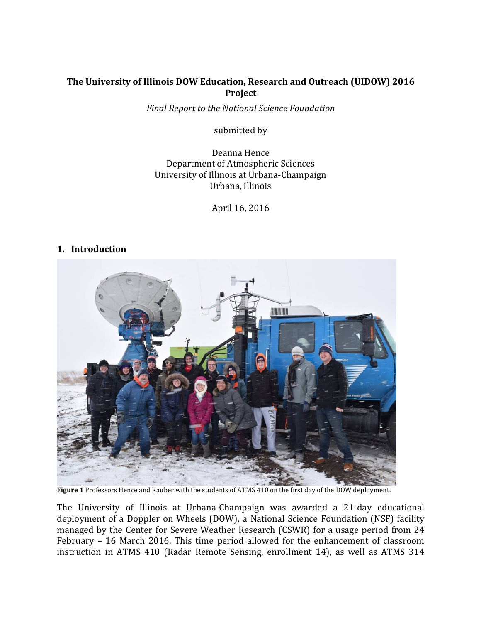## The University of Illinois DOW Education, Research and Outreach (UIDOW) 2016 **Project**

*Final Report to the National Science Foundation*

submitted by

Deanna Hence Department of Atmospheric Sciences University of Illinois at Urbana-Champaign Urbana, Illinois

April 16, 2016

### **1. Introduction**



Figure 1 Professors Hence and Rauber with the students of ATMS 410 on the first day of the DOW deployment.

The University of Illinois at Urbana-Champaign was awarded a 21-day educational deployment of a Doppler on Wheels (DOW), a National Science Foundation (NSF) facility managed by the Center for Severe Weather Research (CSWR) for a usage period from 24 February - 16 March 2016. This time period allowed for the enhancement of classroom instruction in ATMS 410 (Radar Remote Sensing, enrollment 14), as well as ATMS 314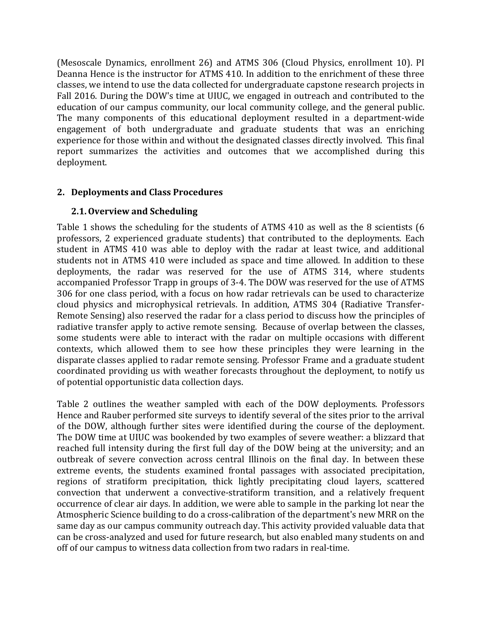(Mesoscale Dynamics, enrollment 26) and ATMS 306 (Cloud Physics, enrollment 10). PI Deanna Hence is the instructor for ATMS 410. In addition to the enrichment of these three classes, we intend to use the data collected for undergraduate capstone research projects in Fall 2016. During the DOW's time at UIUC, we engaged in outreach and contributed to the education of our campus community, our local community college, and the general public. The many components of this educational deployment resulted in a department-wide engagement of both undergraduate and graduate students that was an enriching experience for those within and without the designated classes directly involved. This final report summarizes the activities and outcomes that we accomplished during this deployment.

## **2. Deployments and Class Procedures**

## **2.1.Overview and Scheduling**

Table 1 shows the scheduling for the students of ATMS 410 as well as the 8 scientists  $(6)$ professors, 2 experienced graduate students) that contributed to the deployments. Each student in ATMS 410 was able to deploy with the radar at least twice, and additional students not in ATMS 410 were included as space and time allowed. In addition to these deployments, the radar was reserved for the use of ATMS 314, where students accompanied Professor Trapp in groups of 3-4. The DOW was reserved for the use of ATMS 306 for one class period, with a focus on how radar retrievals can be used to characterize cloud physics and microphysical retrievals. In addition, ATMS 304 (Radiative Transfer-Remote Sensing) also reserved the radar for a class period to discuss how the principles of radiative transfer apply to active remote sensing. Because of overlap between the classes, some students were able to interact with the radar on multiple occasions with different contexts, which allowed them to see how these principles they were learning in the disparate classes applied to radar remote sensing. Professor Frame and a graduate student coordinated providing us with weather forecasts throughout the deployment, to notify us of potential opportunistic data collection days.

Table 2 outlines the weather sampled with each of the DOW deployments. Professors Hence and Rauber performed site surveys to identify several of the sites prior to the arrival of the DOW, although further sites were identified during the course of the deployment. The DOW time at UIUC was bookended by two examples of severe weather: a blizzard that reached full intensity during the first full day of the DOW being at the university; and an outbreak of severe convection across central Illinois on the final day. In between these extreme events, the students examined frontal passages with associated precipitation, regions of stratiform precipitation, thick lightly precipitating cloud layers, scattered convection that underwent a convective-stratiform transition, and a relatively frequent occurrence of clear air days. In addition, we were able to sample in the parking lot near the Atmospheric Science building to do a cross-calibration of the department's new MRR on the same day as our campus community outreach day. This activity provided valuable data that can be cross-analyzed and used for future research, but also enabled many students on and off of our campus to witness data collection from two radars in real-time.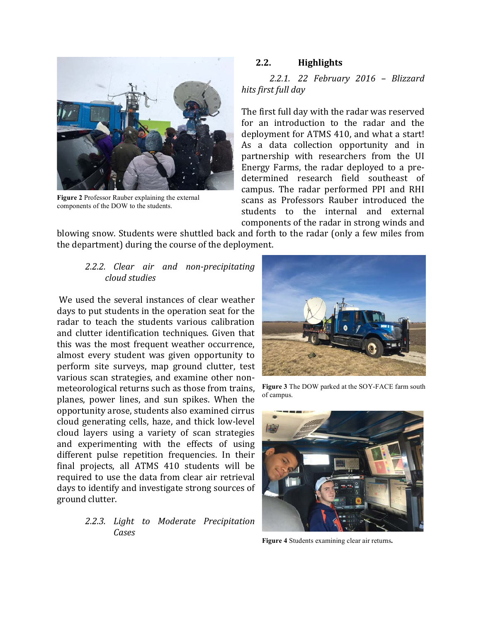

**Figure 2** Professor Rauber explaining the external components of the DOW to the students.

## **2.2. Highlights**

*2.2.1. 22 February 2016 – Blizzard hits first full day*

The first full day with the radar was reserved for an introduction to the radar and the deployment for ATMS 410, and what a start! As a data collection opportunity and in partnership with researchers from the UI Energy Farms, the radar deployed to a predetermined research field southeast of campus. The radar performed PPI and RHI scans as Professors Rauber introduced the students to the internal and external components of the radar in strong winds and

blowing snow. Students were shuttled back and forth to the radar (only a few miles from the department) during the course of the deployment.

## *2.2.2. Clear air and non-precipitating cloud studies*

We used the several instances of clear weather days to put students in the operation seat for the radar to teach the students various calibration and clutter identification techniques. Given that this was the most frequent weather occurrence, almost every student was given opportunity to perform site surveys, map ground clutter, test various scan strategies, and examine other nonmeteorological returns such as those from trains, planes, power lines, and sun spikes. When the opportunity arose, students also examined cirrus cloud generating cells, haze, and thick low-level cloud layers using a variety of scan strategies and experimenting with the effects of using different pulse repetition frequencies. In their final projects, all ATMS 410 students will be required to use the data from clear air retrieval days to identify and investigate strong sources of ground clutter.

## *2.2.3. Light to Moderate Precipitation Cases*



**Figure 3** The DOW parked at the SOY-FACE farm south of campus.



**Figure 4** Students examining clear air returns**.**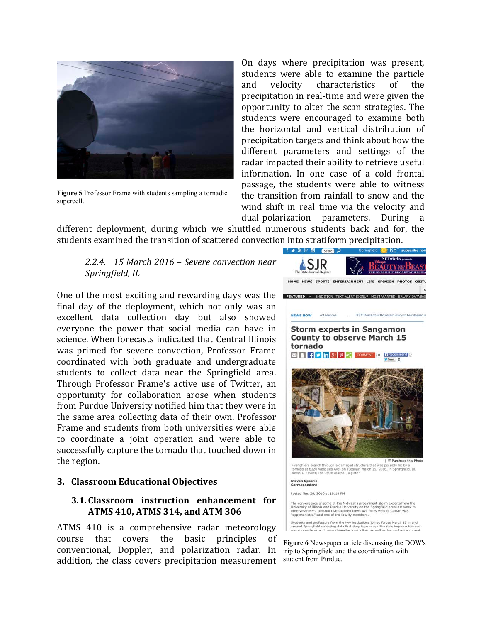

**Figure 5** Professor Frame with students sampling a tornadic supercell.

On days where precipitation was present, students were able to examine the particle and velocity characteristics of the precipitation in real-time and were given the opportunity to alter the scan strategies. The students were encouraged to examine both the horizontal and vertical distribution of precipitation targets and think about how the different parameters and settings of the radar impacted their ability to retrieve useful information. In one case of a cold frontal passage, the students were able to witness the transition from rainfall to snow and the wind shift in real time via the velocity and dual-polarization parameters. During a

different deployment, during which we shuttled numerous students back and for, the students examined the transition of scattered convection into stratiform precipitation.

*2.2.4. 15 March 2016 – Severe convection near*  Springfield, IL

One of the most exciting and rewarding days was the THEATURED IN E-EDITION TEXT ALERT SIGNUP MOST WANTED SALARY DATABAS final day of the deployment, which not only was an excellent data collection day but also showed everyone the power that social media can have in science. When forecasts indicated that Central Illinois was primed for severe convection, Professor Frame coordinated with both graduate and undergraduate students to collect data near the Springfield area. Through Professor Frame's active use of Twitter, an opportunity for collaboration arose when students from Purdue University notified him that they were in the same area collecting data of their own. Professor Frame and students from both universities were able to coordinate a joint operation and were able to successfully capture the tornado that touched down in the region.

#### **3. Classroom Educational Objectives**

### **3.1. Classroom instruction enhancement for ATMS 410, ATMS 314, and ATM 306**

ATMS 410 is a comprehensive radar meteorology course that covers the basic principles of conventional, Doppler, and polarization radar. In addition, the class covers precipitation measurement



**Figure 6** Newspaper article discussing the DOW's trip to Springfield and the coordination with student from Purdue.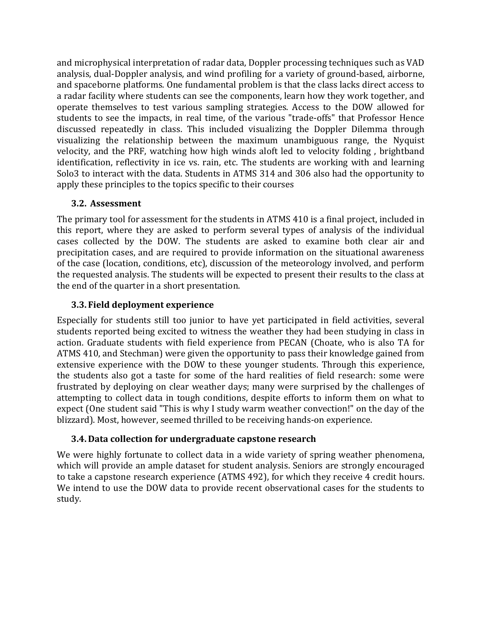and microphysical interpretation of radar data, Doppler processing techniques such as VAD analysis, dual-Doppler analysis, and wind profiling for a variety of ground-based, airborne, and spaceborne platforms. One fundamental problem is that the class lacks direct access to a radar facility where students can see the components, learn how they work together, and operate themselves to test various sampling strategies. Access to the DOW allowed for students to see the impacts, in real time, of the various "trade-offs" that Professor Hence discussed repeatedly in class. This included visualizing the Doppler Dilemma through visualizing the relationship between the maximum unambiguous range, the Nyquist velocity, and the PRF, watching how high winds aloft led to velocity folding, brightband identification, reflectivity in ice vs. rain, etc. The students are working with and learning Solo3 to interact with the data. Students in ATMS 314 and 306 also had the opportunity to apply these principles to the topics specific to their courses

## **3.2. Assessment**

The primary tool for assessment for the students in ATMS 410 is a final project, included in this report, where they are asked to perform several types of analysis of the individual cases collected by the DOW. The students are asked to examine both clear air and precipitation cases, and are required to provide information on the situational awareness of the case (location, conditions, etc), discussion of the meteorology involved, and perform the requested analysis. The students will be expected to present their results to the class at the end of the quarter in a short presentation.

# **3.3. Field deployment experience**

Especially for students still too junior to have yet participated in field activities, several students reported being excited to witness the weather they had been studying in class in action. Graduate students with field experience from PECAN (Choate, who is also TA for ATMS 410, and Stechman) were given the opportunity to pass their knowledge gained from extensive experience with the DOW to these younger students. Through this experience, the students also got a taste for some of the hard realities of field research: some were frustrated by deploying on clear weather days; many were surprised by the challenges of attempting to collect data in tough conditions, despite efforts to inform them on what to expect (One student said "This is why I study warm weather convection!" on the day of the blizzard). Most, however, seemed thrilled to be receiving hands-on experience.

# **3.4. Data collection for undergraduate capstone research**

We were highly fortunate to collect data in a wide variety of spring weather phenomena, which will provide an ample dataset for student analysis. Seniors are strongly encouraged to take a capstone research experience (ATMS 492), for which they receive 4 credit hours. We intend to use the DOW data to provide recent observational cases for the students to study.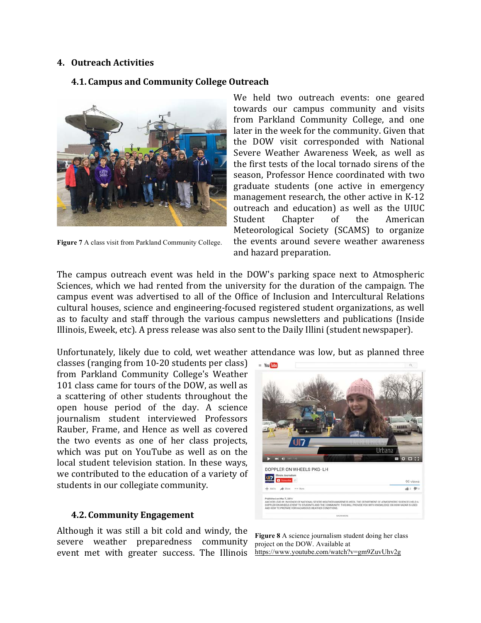### **4. Outreach Activities**

## **4.1. Campus and Community College Outreach**



**Figure 7** A class visit from Parkland Community College.

We held two outreach events: one geared towards our campus community and visits from Parkland Community College, and one later in the week for the community. Given that the DOW visit corresponded with National Severe Weather Awareness Week, as well as the first tests of the local tornado sirens of the season, Professor Hence coordinated with two graduate students (one active in emergency management research, the other active in K-12 outreach and education) as well as the UIUC Student Chapter of the American Meteorological Society (SCAMS) to organize the events around severe weather awareness and hazard preparation.

The campus outreach event was held in the DOW's parking space next to Atmospheric Sciences, which we had rented from the university for the duration of the campaign. The campus event was advertised to all of the Office of Inclusion and Intercultural Relations cultural houses, science and engineering-focused registered student organizations, as well as to faculty and staff through the various campus newsletters and publications (Inside Illinois, Eweek, etc). A press release was also sent to the Daily Illini (student newspaper).

Unfortunately, likely due to cold, wet weather attendance was low, but as planned three

classes (ranging from  $10-20$  students per class) from Parkland Community College's Weather 101 class came for tours of the DOW, as well as a scattering of other students throughout the open house period of the day. A science journalism student interviewed Professors Rauber, Frame, and Hence as well as covered the two events as one of her class projects, which was put on YouTube as well as on the local student television station. In these ways, we contributed to the education of a variety of students in our collegiate community.

#### **4.2. Community Engagement**

Although it was still a bit cold and windy, the severe weather preparedness community event met with greater success. The Illinois



**Figure 8** A science journalism student doing her class project on the DOW. Available at https://www.youtube.com/watch?v=gm9ZuvUhv2g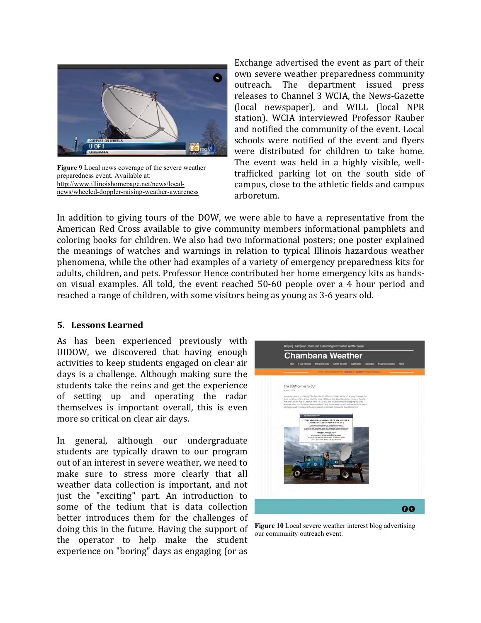

**Figure 9** Local news coverage of the severe weather preparedness event. Available at: http://www.illinoishomepage.net/news/localnews/wheeled-doppler-raising-weather-awareness

Exchange advertised the event as part of their own severe weather preparedness community outreach. The department issued press releases to Channel 3 WCIA, the News-Gazette (local newspaper), and WILL (local NPR station). WCIA interviewed Professor Rauber and notified the community of the event. Local schools were notified of the event and flyers were distributed for children to take home. The event was held in a highly visible, welltrafficked parking lot on the south side of campus, close to the athletic fields and campus arboretum. 

In addition to giving tours of the DOW, we were able to have a representative from the American Red Cross available to give community members informational pamphlets and coloring books for children. We also had two informational posters; one poster explained the meanings of watches and warnings in relation to typical Illinois hazardous weather phenomena, while the other had examples of a variety of emergency preparedness kits for adults, children, and pets. Professor Hence contributed her home emergency kits as handson visual examples. All told, the event reached 50-60 people over a 4 hour period and reached a range of children, with some visitors being as young as 3-6 years old.

### **5. Lessons Learned**

As has been experienced previously with UIDOW, we discovered that having enough activities to keep students engaged on clear air days is a challenge. Although making sure the students take the reins and get the experience of setting up and operating the radar themselves is important overall, this is even more so critical on clear air days.

In general, although our undergraduate students are typically drawn to our program out of an interest in severe weather, we need to make sure to stress more clearly that all weather data collection is important, and not just the "exciting" part. An introduction to some of the tedium that is data collection better introduces them for the challenges of doing this in the future. Having the support of the operator to help make the student experience on "boring" days as engaging (or as



**Figure 10** Local severe weather interest blog advertising our community outreach event.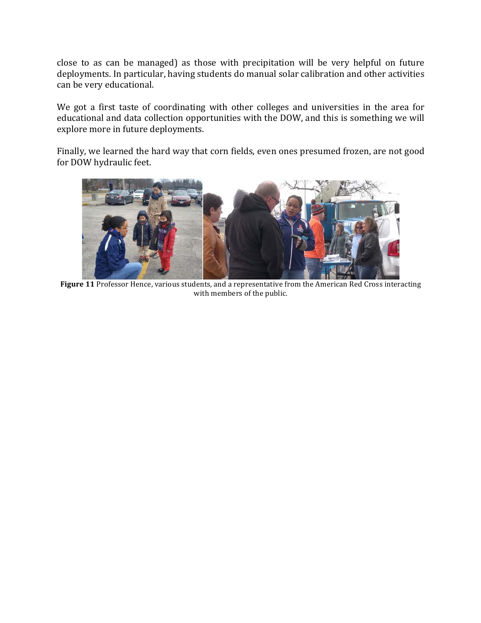close to as can be managed) as those with precipitation will be very helpful on future deployments. In particular, having students do manual solar calibration and other activities can be very educational.

We got a first taste of coordinating with other colleges and universities in the area for educational and data collection opportunities with the DOW, and this is something we will explore more in future deployments.

Finally, we learned the hard way that corn fields, even ones presumed frozen, are not good for DOW hydraulic feet.



Figure 11 Professor Hence, various students, and a representative from the American Red Cross interacting with members of the public.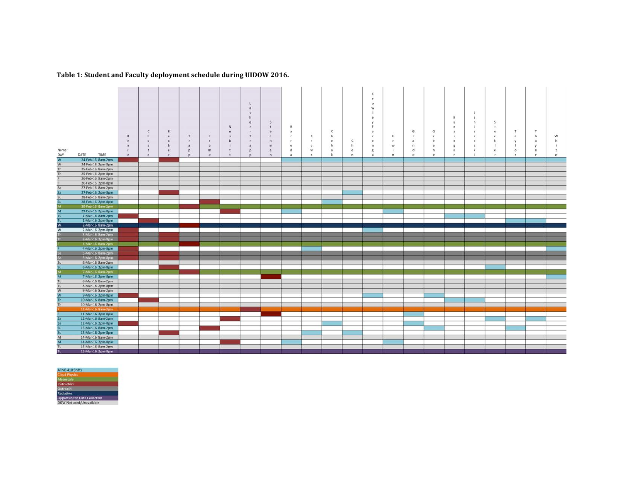#### Table 1: Student and Faculty deployment schedule during UIDOW 2016.

|                |                                        |              |              |                |              |   |   |                              |              |                |                |              |              | c            |                |            |              |              |         |              |              |              |              |
|----------------|----------------------------------------|--------------|--------------|----------------|--------------|---|---|------------------------------|--------------|----------------|----------------|--------------|--------------|--------------|----------------|------------|--------------|--------------|---------|--------------|--------------|--------------|--------------|
|                |                                        |              |              |                |              |   |   |                              |              |                |                |              |              | ×            |                |            |              |              |         |              |              |              |              |
|                |                                        |              |              |                |              |   |   | L                            |              |                |                |              |              | $\circ$      |                |            |              |              |         |              |              |              |              |
|                |                                        |              |              |                |              |   |   | $\mathbf{a}$                 |              |                |                |              |              | W            |                |            |              |              |         |              |              |              |              |
|                |                                        |              |              |                |              |   |   | $\overline{\mathbf{5}}$<br>h |              |                |                |              |              |              |                |            |              | н            |         |              |              |              |              |
|                |                                        |              |              |                |              |   |   | $\mathbf{e}$                 | .S           |                |                |              |              |              |                |            |              | $\mathbf{u}$ | a.<br>n | s            |              |              |              |
|                |                                        |              |              |                |              |   | N | $\mathbf{r}$                 | it.          | B              |                |              |              |              |                |            |              | $\mathbf{r}$ |         | $\mathbf{t}$ |              |              |              |
|                |                                        |              | $\mathsf{C}$ | R              |              |   | e | $\sim$                       | e            | $\overline{a}$ |                | $\mathsf{C}$ |              | $\cdot$ a    |                | G          | G            | $\mathbb{Z}$ |         | $\mathbf{e}$ | T            | T            |              |
|                |                                        | н            | h            | $\overline{a}$ | T            | F |   | $\tau$                       | $\mathsf{c}$ | r              | B              | h.           |              |              | E              | к.         |              |              |         | $\mathsf{c}$ | a            | h            | W            |
|                |                                        | e            | $\circ$      | $\mathbf{u}$   | $\mathbf{r}$ | r | b | ×                            | h            | ×.             | r.             | e            | $\mathsf{C}$ | ٠            |                |            |              |              |         | ×            |              | $\tilde{a}$  |              |
|                |                                        | $\mathsf{n}$ | a            | $\mathbf b$    | a            | a |   | a                            | m            | e              | $\circ$        | h            | h            | $\mathsf{n}$ | w              | $\sqrt{n}$ |              |              |         |              |              | y            |              |
| Name:          |                                        | $\mathsf{c}$ | $\mathbf{t}$ | e              | $\mathbf{D}$ | m | t | p                            | a            | d              | w              | a            | e            | g            |                | d          | $\mathbf{r}$ |              |         | e            | $\circ$      | $\mathbf{e}$ | $\mathbf{r}$ |
| DAY            | DATE<br>TIME                           | e.           | e.           | r              | Þ            | e | t | p                            | $\mathsf{n}$ | a              | $\overline{n}$ | k            | n.           | $\mathbf{a}$ | $\overline{n}$ | e          | $\epsilon$   | $\mathbf{r}$ |         | $\mathbf{r}$ | $\mathbf{r}$ | $\tau$       | $\mathbf{e}$ |
| W              | 24-Feb-16 8am-2pm                      |              |              |                |              |   |   |                              |              |                |                |              |              |              |                |            |              |              |         |              |              |              |              |
| W              | 24-Feb-16 2pm-8pm                      |              |              |                |              |   |   |                              |              |                |                |              |              |              |                |            |              |              |         |              |              |              |              |
| Th             | 25-Feb-16 8am-2pm                      |              |              |                |              |   |   |                              |              |                |                |              |              |              |                |            |              |              |         |              |              |              |              |
| Th             | 25-Feb-16 2pm-8pm                      |              |              |                |              |   |   |                              |              |                |                |              |              |              |                |            |              |              |         |              |              |              |              |
|                | 26-Feb-16 8am-2pm                      |              |              |                |              |   |   |                              |              |                |                |              |              |              |                |            |              |              |         |              |              |              |              |
|                | 26-Feb-16 2pm-8pm                      |              |              |                |              |   |   |                              |              |                |                |              |              |              |                |            |              |              |         |              |              |              |              |
| Sa             | 27-Feb-16 8am-2pm                      |              |              |                |              |   |   |                              |              |                |                |              |              |              |                |            |              |              |         |              |              |              |              |
| Sa<br>Su       | 27-Feb-16 2pm-8pm                      |              |              |                |              |   |   |                              |              |                |                |              |              |              |                |            |              |              |         |              |              |              |              |
|                | 28-Feb-16 8am-2pm                      |              |              |                |              |   |   |                              |              |                |                |              |              |              |                |            |              |              |         |              |              |              |              |
| Su             | 28-Feb-16 2pm-8pm                      |              |              |                |              |   |   |                              |              |                |                |              |              |              |                |            |              |              |         |              |              |              |              |
| $\frac{M}{M}$  | 29-Feb-16 Sam-2pm                      |              |              |                |              |   |   |                              |              |                |                |              |              |              |                |            |              |              |         |              |              |              |              |
|                | 29-Feb-16 2pm-8pm                      |              |              |                |              |   |   |                              |              |                |                |              |              |              |                |            |              |              |         |              |              |              |              |
| Tu.            | 1-Mar-16 8am-2pm                       |              |              |                |              |   |   |                              |              |                |                |              |              |              |                |            |              |              |         |              |              |              |              |
| Tu<br>ℼ        | 1-Mar-16 2pm-8pm<br>2-Mar-16 8am-2pm   |              |              |                |              |   |   |                              |              |                |                |              |              |              |                |            |              |              |         |              |              |              |              |
| W              | 2-Mar-16 2pm-8pm                       |              |              |                |              |   |   |                              |              |                |                |              |              |              |                |            |              |              |         |              |              |              |              |
|                | 3-Mar-16 8am-2pm                       |              |              |                |              |   |   |                              |              |                |                |              |              |              |                |            |              |              |         |              |              |              |              |
|                | 3-Mar-16 2pm-8pm                       |              |              |                |              |   |   |                              |              |                |                |              |              |              |                |            |              |              |         |              |              |              |              |
|                | 4-Mar-16 8am-2pm                       |              |              |                |              |   |   |                              |              |                |                |              |              |              |                |            |              |              |         |              |              |              |              |
|                | 4-Mar-16 2pm-8pm                       |              |              |                |              |   |   |                              |              |                |                |              |              |              |                |            |              |              |         |              |              |              |              |
|                | 5-Mar-16 8am-2pm                       |              |              |                |              |   |   |                              |              |                |                |              |              |              |                |            |              |              |         |              |              |              |              |
| Sa.            | 5-Mar-16 2pm-8pm                       |              |              |                |              |   |   |                              |              |                |                |              |              |              |                |            |              |              |         |              |              |              |              |
| Su             | 6-Mar-16 8am-2pm                       |              |              |                |              |   |   |                              |              |                |                |              |              |              |                |            |              |              |         |              |              |              |              |
| Su             | 6-Mar-16 2pm-8pm                       |              |              |                |              |   |   |                              |              |                |                |              |              |              |                |            |              |              |         |              |              |              |              |
| M.             | 7-Mar-16 8am-2pm                       |              |              |                |              |   |   |                              |              |                |                |              |              |              |                |            |              |              |         |              |              |              |              |
| M              | 7-Mar-16 2pm-8pm                       |              |              |                |              |   |   |                              |              |                |                |              |              |              |                |            |              |              |         |              |              |              |              |
| Tu             | 8-Mar-16 8am-2pm                       |              |              |                |              |   |   |                              |              |                |                |              |              |              |                |            |              |              |         |              |              |              |              |
| Tu             | 8-Mar-16 2pm-8pm                       |              |              |                |              |   |   |                              |              |                |                |              |              |              |                |            |              |              |         |              |              |              |              |
| W              | 9-Mar-16 8am-2pm                       |              |              |                |              |   |   |                              |              |                |                |              |              |              |                |            |              |              |         |              |              |              |              |
| W              | 9-Mar-16 2pm-8pm                       |              |              |                |              |   |   |                              |              |                |                |              |              |              |                |            |              |              |         |              |              |              |              |
| Th             | 10-Mar-16 8am-2pm                      |              |              |                |              |   |   |                              |              |                |                |              |              |              |                |            |              |              |         |              |              |              |              |
| Th             | 10-Mar-16 2pm-8pm                      |              |              |                |              |   |   |                              |              |                |                |              |              |              |                |            |              |              |         |              |              |              |              |
|                | 11-Mar-16 8am-3pm                      |              |              |                |              |   |   |                              |              |                |                |              |              |              |                |            |              |              |         |              |              |              |              |
|                | 11-Mar-16 3pm-8pm                      |              |              |                |              |   |   |                              |              |                |                |              |              |              |                |            |              |              |         |              |              |              |              |
| 5a             | 12-Mar-16 8am-2pm                      |              |              |                |              |   |   |                              |              |                |                |              |              |              |                |            |              |              |         |              |              |              |              |
| 5a             | 12-Mar-16 2pm-8pm                      |              |              |                |              |   |   |                              |              |                |                |              |              |              |                |            |              |              |         |              |              |              |              |
| Su<br>Su       | 13-Mar-16 8am-2pm                      |              |              |                |              |   |   |                              |              |                |                |              |              |              |                |            |              |              |         |              |              |              |              |
| $\overline{M}$ | 13-Mar-16 2pm-8pm<br>14-Mar-16 8am-2pm |              |              |                |              |   |   |                              |              |                |                |              |              |              |                |            |              |              |         |              |              |              |              |
| $\overline{M}$ | 14-Mar-16 2pm-8pm                      |              |              |                |              |   |   |                              |              |                |                |              |              |              |                |            |              |              |         |              |              |              |              |
| Tu             | 15-Mar-16 8am-2pm                      |              |              |                |              |   |   |                              |              |                |                |              |              |              |                |            |              |              |         |              |              |              |              |
| Tu             | 15-Mar-16 2pm-8pm                      |              |              |                |              |   |   |                              |              |                |                |              |              |              |                |            |              |              |         |              |              |              |              |
|                |                                        |              |              |                |              |   |   |                              |              |                |                |              |              |              |                |            |              |              |         |              |              |              |              |

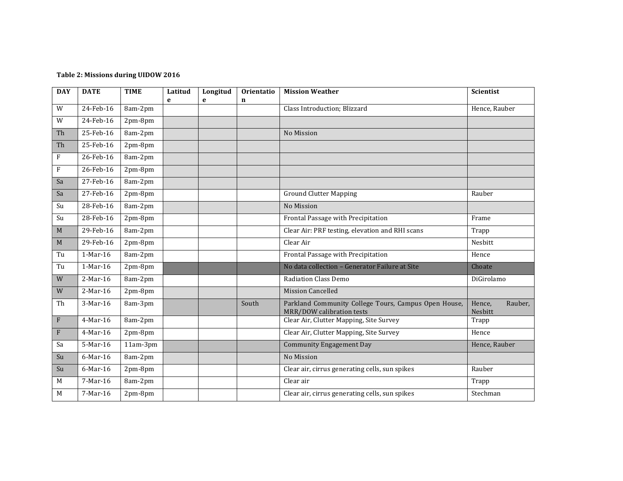#### Table 2: Missions during UIDOW 2016

| <b>DAY</b>    | <b>DATE</b>          | <b>TIME</b> | Latitud<br>e | Longitud<br>e | Orientatio<br>$\mathbf n$ | <b>Mission Weather</b>                                                            | Scientist                    |  |  |
|---------------|----------------------|-------------|--------------|---------------|---------------------------|-----------------------------------------------------------------------------------|------------------------------|--|--|
| W             | 24-Feb-16<br>8am-2pm |             |              |               |                           | Class Introduction; Blizzard                                                      | Hence, Rauber                |  |  |
| ${\mathsf W}$ | 24-Feb-16            | 2pm-8pm     |              |               |                           |                                                                                   |                              |  |  |
| Th            | 25-Feb-16            | 8am-2pm     |              |               |                           | No Mission                                                                        |                              |  |  |
| Th            | 25-Feb-16            | 2pm-8pm     |              |               |                           |                                                                                   |                              |  |  |
| $\mathbf{F}$  | 26-Feb-16            | 8am-2pm     |              |               |                           |                                                                                   |                              |  |  |
| $\rm F$       | 26-Feb-16            | 2pm-8pm     |              |               |                           |                                                                                   |                              |  |  |
| Sa            | 27-Feb-16            | 8am-2pm     |              |               |                           |                                                                                   |                              |  |  |
| Sa            | 27-Feb-16            | 2pm-8pm     |              |               |                           | <b>Ground Clutter Mapping</b>                                                     | Rauber                       |  |  |
| Su            | 28-Feb-16            | 8am-2pm     |              |               |                           | No Mission                                                                        |                              |  |  |
| Su            | 28-Feb-16            | 2pm-8pm     |              |               |                           | Frontal Passage with Precipitation                                                | Frame                        |  |  |
| M             | 29-Feb-16            | 8am-2pm     |              |               |                           | Clear Air: PRF testing, elevation and RHI scans                                   | Trapp                        |  |  |
| M             | 29-Feb-16            | 2pm-8pm     |              |               |                           | Clear Air                                                                         | Nesbitt                      |  |  |
| Tu            | 1-Mar-16             | 8am-2pm     |              |               |                           | Frontal Passage with Precipitation                                                | Hence                        |  |  |
| Tu            | 1-Mar-16             | 2pm-8pm     |              |               |                           | No data collection - Generator Failure at Site                                    | Choate                       |  |  |
| W             | 2-Mar-16             | 8am-2pm     |              |               |                           | <b>Radiation Class Demo</b>                                                       | DiGirolamo                   |  |  |
| W             | 2-Mar-16             | 2pm-8pm     |              |               |                           | <b>Mission Cancelled</b>                                                          |                              |  |  |
| Th            | 3-Mar-16             | 8am-3pm     |              |               | South                     | Parkland Community College Tours, Campus Open House,<br>MRR/DOW calibration tests | Hence.<br>Rauber,<br>Nesbitt |  |  |
| $\rm F$       | 4-Mar-16             | 8am-2pm     |              |               |                           | Clear Air, Clutter Mapping, Site Survey                                           | Trapp                        |  |  |
| $\rm F$       | 4-Mar-16             | $2pm-8pm$   |              |               |                           | Clear Air, Clutter Mapping, Site Survey                                           | Hence                        |  |  |
| Sa            | 5-Mar-16             | 11am-3pm    |              |               |                           | <b>Community Engagement Day</b>                                                   | Hence, Rauber                |  |  |
| Su            | 6-Mar-16             | 8am-2pm     |              |               |                           | No Mission                                                                        |                              |  |  |
| Su            | 6-Mar-16             | 2pm-8pm     |              |               |                           | Clear air, cirrus generating cells, sun spikes                                    | Rauber                       |  |  |
| M             | 7-Mar-16             | 8am-2pm     |              |               |                           | Clear air                                                                         | Trapp                        |  |  |
| M             | 7-Mar-16             | 2pm-8pm     |              |               |                           | Clear air, cirrus generating cells, sun spikes                                    | Stechman                     |  |  |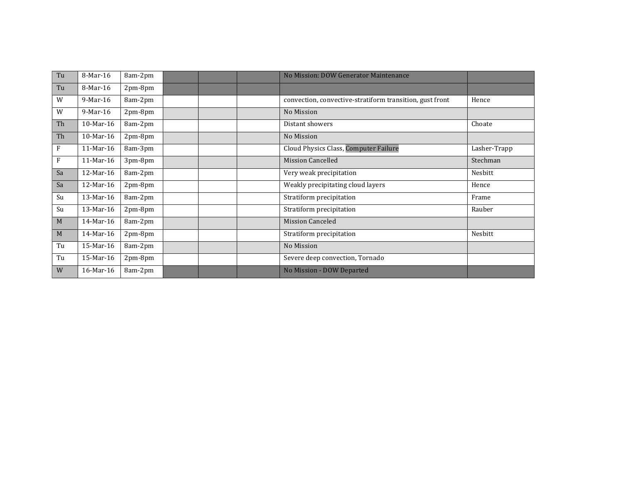| Tu | 8-Mar-16    | 8am-2pm   |  | No Mission: DOW Generator Maintenance                    |              |
|----|-------------|-----------|--|----------------------------------------------------------|--------------|
| Tu | 8-Mar-16    | 2pm-8pm   |  |                                                          |              |
| W  | $9-Mar-16$  | 8am-2pm   |  | convection, convective-stratiform transition, gust front | Hence        |
| W  | $9-Mar-16$  | 2pm-8pm   |  | No Mission                                               |              |
| Th | 10-Mar-16   | 8am-2pm   |  | Distant showers                                          | Choate       |
| Th | 10-Mar-16   | 2pm-8pm   |  | No Mission                                               |              |
| F  | $11-Mar-16$ | 8am-3pm   |  | Cloud Physics Class, Computer Failure                    | Lasher-Trapp |
| F  | 11-Mar-16   | 3pm-8pm   |  | <b>Mission Cancelled</b>                                 | Stechman     |
| Sa | 12-Mar-16   | 8am-2pm   |  | Very weak precipitation                                  | Nesbitt      |
| Sa | 12-Mar-16   | 2pm-8pm   |  | Weakly precipitating cloud layers                        | Hence        |
| Su | 13-Mar-16   | 8am-2pm   |  | Stratiform precipitation                                 | Frame        |
| Su | 13-Mar-16   | 2pm-8pm   |  | Stratiform precipitation                                 | Rauber       |
| M  | 14-Mar-16   | 8am-2pm   |  | <b>Mission Canceled</b>                                  |              |
| M  | 14-Mar-16   | $2pm-8pm$ |  | Stratiform precipitation                                 | Nesbitt      |
| Tu | 15-Mar-16   | 8am-2pm   |  | No Mission                                               |              |
| Tu | 15-Mar-16   | 2pm-8pm   |  | Severe deep convection, Tornado                          |              |
| W  | 16-Mar-16   | 8am-2pm   |  | No Mission - DOW Departed                                |              |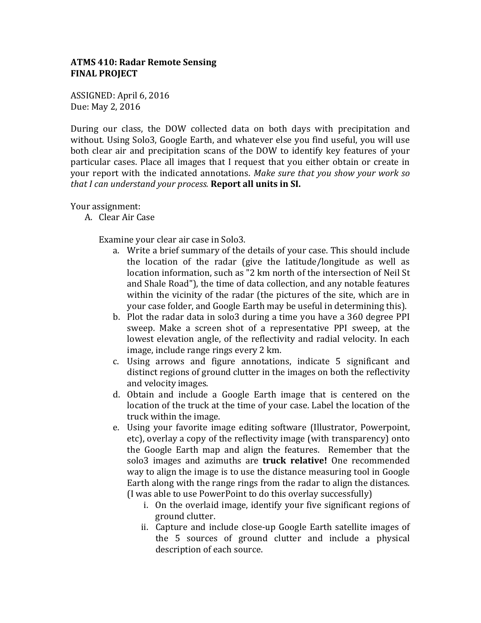## **ATMS 410: Radar Remote Sensing FINAL PROJECT**

ASSIGNED: April 6, 2016 Due: May 2, 2016

During our class, the DOW collected data on both days with precipitation and without. Using Solo3, Google Earth, and whatever else you find useful, you will use both clear air and precipitation scans of the DOW to identify key features of your particular cases. Place all images that I request that you either obtain or create in your report with the indicated annotations. Make sure that you show your work so *that I can understand your process.* **Report all units in SI.** 

Your assignment:

A. Clear Air Case

Examine your clear air case in Solo3.

- a. Write a brief summary of the details of your case. This should include the location of the radar (give the latitude/longitude as well as location information, such as "2 km north of the intersection of Neil St and Shale Road"), the time of data collection, and any notable features within the vicinity of the radar (the pictures of the site, which are in your case folder, and Google Earth may be useful in determining this).
- b. Plot the radar data in solo3 during a time you have a 360 degree PPI sweep. Make a screen shot of a representative PPI sweep, at the lowest elevation angle, of the reflectivity and radial velocity. In each image, include range rings every 2 km.
- c. Using arrows and figure annotations, indicate 5 significant and distinct regions of ground clutter in the images on both the reflectivity and velocity images.
- d. Obtain and include a Google Earth image that is centered on the location of the truck at the time of your case. Label the location of the truck within the image.
- e. Using your favorite image editing software (Illustrator, Powerpoint, etc), overlay a copy of the reflectivity image (with transparency) onto the Google Earth map and align the features. Remember that the solo3 images and azimuths are **truck relative!** One recommended way to align the image is to use the distance measuring tool in Google Earth along with the range rings from the radar to align the distances.  $(I$  was able to use PowerPoint to do this overlay successfully)
	- i. On the overlaid image, identify your five significant regions of ground clutter.
	- ii. Capture and include close-up Google Earth satellite images of the 5 sources of ground clutter and include a physical description of each source.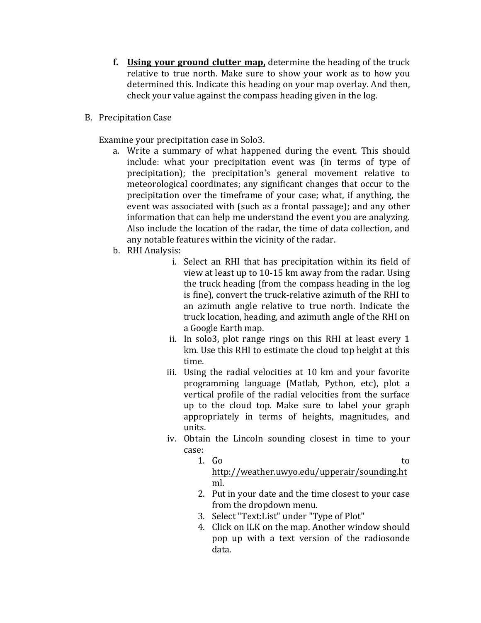- **f.** Using your ground clutter map, determine the heading of the truck relative to true north. Make sure to show your work as to how you determined this. Indicate this heading on your map overlay. And then, check your value against the compass heading given in the log.
- B. Precipitation Case

Examine your precipitation case in Solo3.

- a. Write a summary of what happened during the event. This should include: what your precipitation event was (in terms of type of precipitation); the precipitation's general movement relative to meteorological coordinates; any significant changes that occur to the precipitation over the timeframe of your case; what, if anything, the event was associated with (such as a frontal passage); and any other information that can help me understand the event you are analyzing. Also include the location of the radar, the time of data collection, and any notable features within the vicinity of the radar.
- b. RHI Analysis:
	- i. Select an RHI that has precipitation within its field of view at least up to  $10-15$  km away from the radar. Using the truck heading (from the compass heading in the log is fine), convert the truck-relative azimuth of the RHI to an azimuth angle relative to true north. Indicate the truck location, heading, and azimuth angle of the RHI on a Google Earth map.
	- ii. In solo3, plot range rings on this RHI at least every  $1$ km. Use this RHI to estimate the cloud top height at this time.
	- iii. Using the radial velocities at 10 km and your favorite programming language (Matlab, Python, etc), plot a vertical profile of the radial velocities from the surface up to the cloud top. Make sure to label your graph appropriately in terms of heights, magnitudes, and units.
	- iv. Obtain the Lincoln sounding closest in time to your case:
		- 1. Go to http://weather.uwyo.edu/upperair/sounding.ht ml.
		- 2. Put in your date and the time closest to your case from the dropdown menu.
		- 3. Select "Text:List" under "Type of Plot"
		- 4. Click on ILK on the map. Another window should pop up with a text version of the radiosonde data.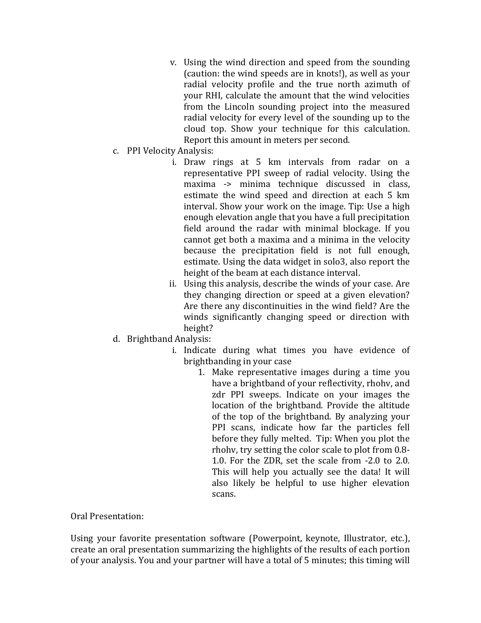- v. Using the wind direction and speed from the sounding (caution: the wind speeds are in knots!), as well as your radial velocity profile and the true north azimuth of your RHI, calculate the amount that the wind velocities from the Lincoln sounding project into the measured radial velocity for every level of the sounding up to the cloud top. Show your technique for this calculation. Report this amount in meters per second.
- c. PPI Velocity Analysis:
	- i. Draw rings at 5 km intervals from radar on a representative PPI sweep of radial velocity. Using the maxima -> minima technique discussed in class, estimate the wind speed and direction at each 5 km interval. Show your work on the image. Tip: Use a high enough elevation angle that you have a full precipitation field around the radar with minimal blockage. If you cannot get both a maxima and a minima in the velocity because the precipitation field is not full enough, estimate. Using the data widget in solo3, also report the height of the beam at each distance interval.
	- ii. Using this analysis, describe the winds of your case. Are they changing direction or speed at a given elevation? Are there any discontinuities in the wind field? Are the winds significantly changing speed or direction with height?
- d. Brightband Analysis:
	- i. Indicate during what times you have evidence of brightbanding in your case
		- 1. Make representative images during a time you have a brightband of your reflectivity, rhohy, and zdr PPI sweeps. Indicate on your images the location of the brightband. Provide the altitude of the top of the brightband. By analyzing your PPI scans, indicate how far the particles fell before they fully melted. Tip: When you plot the rhohv, try setting the color scale to plot from 0.8-1.0. For the ZDR, set the scale from  $-2.0$  to 2.0. This will help you actually see the data! It will also likely be helpful to use higher elevation scans.

Oral Presentation:

Using your favorite presentation software (Powerpoint, keynote, Illustrator, etc.), create an oral presentation summarizing the highlights of the results of each portion of your analysis. You and your partner will have a total of 5 minutes; this timing will